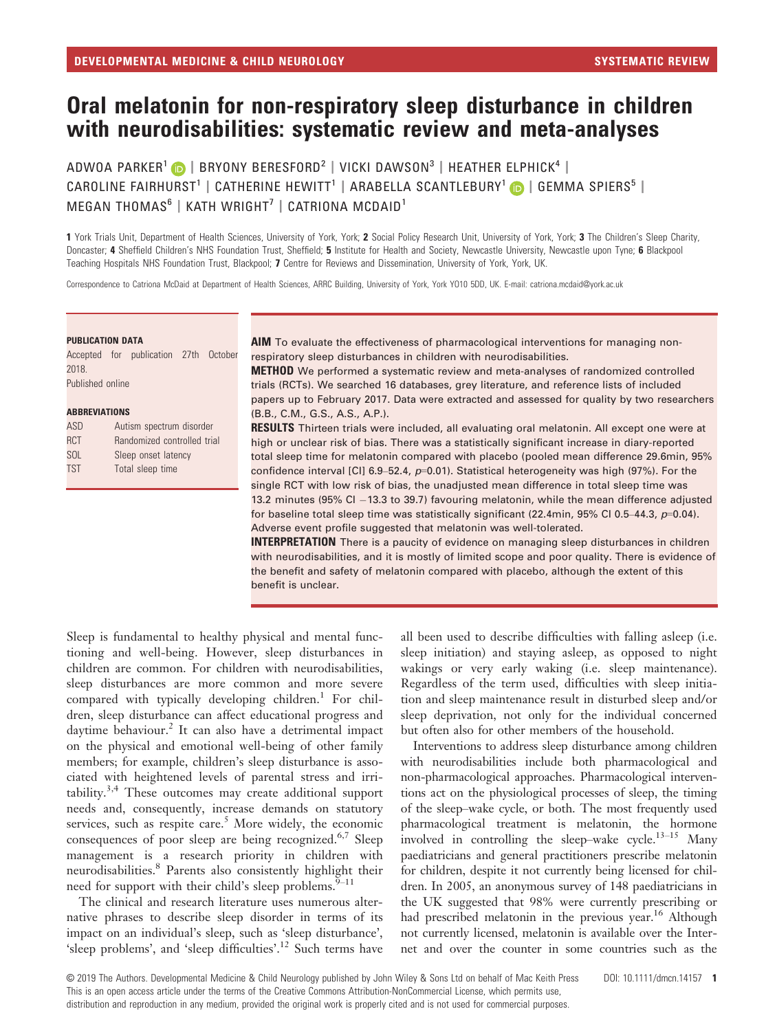# Oral melatonin for non-respiratory sleep disturbance in children with neurodisabilities: systematic review and meta-analyses

ADWOA PARKER<sup>1</sup> D | BRYONY BERESFORD<sup>2</sup> | VICKI DAWSON<sup>3</sup> | HEATHER ELPHICK<sup>4</sup> | CAROLINE FAIRHURST<sup>[1](https://orcid.org/0000-0003-3518-2740)</sup> | CATHERINE HEWITT<sup>1</sup> | ARABELLA SCANTLEBURY<sup>1</sup> | GEMMA SPIERS<sup>5</sup> | MEGAN THOMAS<sup>6</sup> | KATH WRIGHT<sup>7</sup> | CATRIONA MCDAID<sup>1</sup>

1 York Trials Unit, Department of Health Sciences, University of York, York: 2 Social Policy Research Unit, University of York, York: 3 The Children's Sleep Charity, Doncaster; 4 Sheffield Children's NHS Foundation Trust, Sheffield; 5 Institute for Health and Society, Newcastle University, Newcastle upon Tyne; 6 Blackpool Teaching Hospitals NHS Foundation Trust, Blackpool; 7 Centre for Reviews and Dissemination, University of York, York, UK.

Correspondence to Catriona McDaid at Department of Health Sciences, ARRC Building, University of York, York YO10 5DD, UK. E-mail: [catriona.mcdaid@york.ac.uk](mailto:)

#### PUBLICATION DATA

Accepted for publication 27th October 2018. Published online

#### ABBREVIATIONS

| ASD        | Autism spectrum disorder    |  |  |  |  |  |  |
|------------|-----------------------------|--|--|--|--|--|--|
| <b>RCT</b> | Randomized controlled trial |  |  |  |  |  |  |
| SOL        | Sleep onset latency         |  |  |  |  |  |  |
| <b>TST</b> | Total sleep time            |  |  |  |  |  |  |

AIM To evaluate the effectiveness of pharmacological interventions for managing nonrespiratory sleep disturbances in children with neurodisabilities.

METHOD We performed a systematic review and meta-analyses of randomized controlled trials (RCTs). We searched 16 databases, grey literature, and reference lists of included papers up to February 2017. Data were extracted and assessed for quality by two researchers (B.B., C.M., G.S., A.S., A.P.).

RESULTS Thirteen trials were included, all evaluating oral melatonin. All except one were at high or unclear risk of bias. There was a statistically significant increase in diary-reported total sleep time for melatonin compared with placebo (pooled mean difference 29.6min, 95% confidence interval  $\lbrack$  CI] 6.9–52.4, p=0.01). Statistical heterogeneity was high (97%). For the single RCT with low risk of bias, the unadjusted mean difference in total sleep time was 13.2 minutes (95% CI -13.3 to 39.7) favouring melatonin, while the mean difference adjusted for baseline total sleep time was statistically significant (22.4min, 95% CI 0.5–44.3, p=0.04). Adverse event profile suggested that melatonin was well-tolerated.

**INTERPRETATION** There is a paucity of evidence on managing sleep disturbances in children with neurodisabilities, and it is mostly of limited scope and poor quality. There is evidence of the benefit and safety of melatonin compared with placebo, although the extent of this benefit is unclear.

Sleep is fundamental to healthy physical and mental functioning and well-being. However, sleep disturbances in children are common. For children with neurodisabilities, sleep disturbances are more common and more severe compared with typically developing children.<sup>1</sup> For children, sleep disturbance can affect educational progress and daytime behaviour.<sup>2</sup> It can also have a detrimental impact on the physical and emotional well-being of other family members; for example, children's sleep disturbance is associated with heightened levels of parental stress and irritability.3,4 These outcomes may create additional support needs and, consequently, increase demands on statutory services, such as respite care.<sup>5</sup> More widely, the economic consequences of poor sleep are being recognized.<sup>6,7</sup> Sleep management is a research priority in children with neurodisabilities.<sup>8</sup> Parents also consistently highlight their need for support with their child's sleep problems. $9-11$ 

The clinical and research literature uses numerous alternative phrases to describe sleep disorder in terms of its impact on an individual's sleep, such as 'sleep disturbance', 'sleep problems', and 'sleep difficulties'.12 Such terms have

all been used to describe difficulties with falling asleep (i.e. sleep initiation) and staying asleep, as opposed to night wakings or very early waking (i.e. sleep maintenance). Regardless of the term used, difficulties with sleep initiation and sleep maintenance result in disturbed sleep and/or sleep deprivation, not only for the individual concerned but often also for other members of the household.

Interventions to address sleep disturbance among children with neurodisabilities include both pharmacological and non-pharmacological approaches. Pharmacological interventions act on the physiological processes of sleep, the timing of the sleep–wake cycle, or both. The most frequently used pharmacological treatment is melatonin, the hormone involved in controlling the sleep–wake cycle. $13-15$  Many paediatricians and general practitioners prescribe melatonin for children, despite it not currently being licensed for children. In 2005, an anonymous survey of 148 paediatricians in the UK suggested that 98% were currently prescribing or had prescribed melatonin in the previous year.<sup>16</sup> Although not currently licensed, melatonin is available over the Internet and over the counter in some countries such as the

© 2019 The Authors. Developmental Medicine & Child Neurology published by John Wiley & Sons Ltd on behalf of Mac Keith Press DOI: 10.1111/dmcn.14157 1 This is an open access article under the terms of the [Creative Commons Attribution-NonCommercial](http://creativecommons.org/licenses/by-nc/4.0/) License, which permits use, distribution and reproduction in any medium, provided the original work is properly cited and is not used for commercial purposes.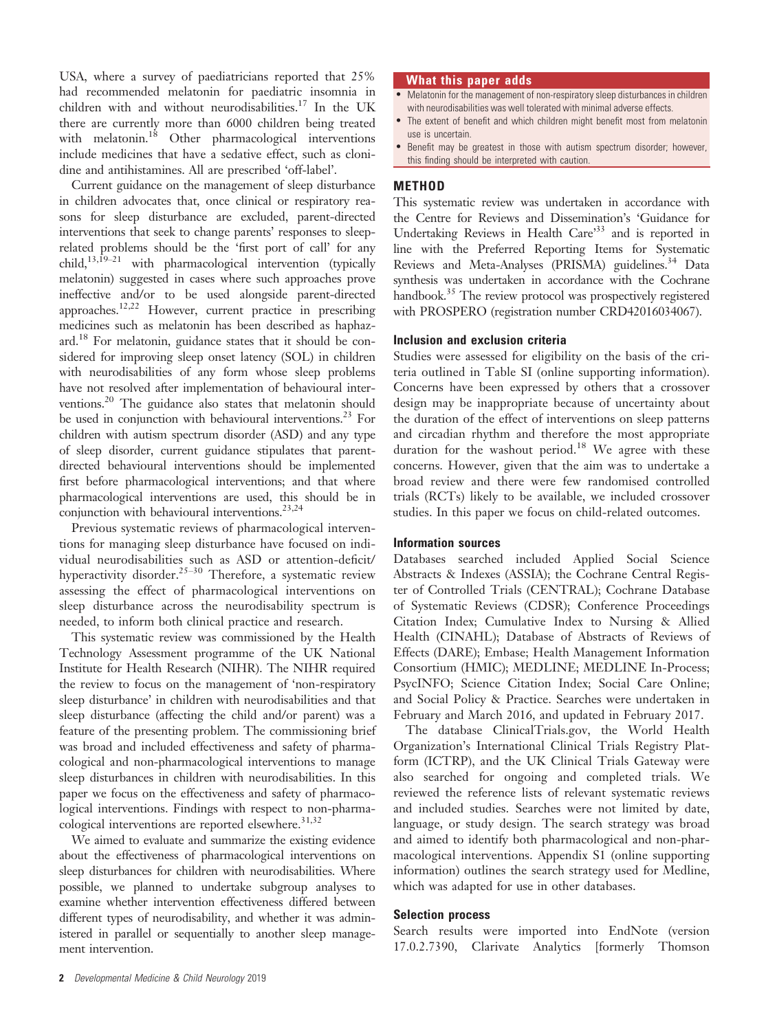USA, where a survey of paediatricians reported that 25% had recommended melatonin for paediatric insomnia in children with and without neurodisabilities.<sup>17</sup> In the UK there are currently more than 6000 children being treated with melatonin.<sup>18</sup> Other pharmacological interventions include medicines that have a sedative effect, such as clonidine and antihistamines. All are prescribed 'off-label'.

Current guidance on the management of sleep disturbance in children advocates that, once clinical or respiratory reasons for sleep disturbance are excluded, parent-directed interventions that seek to change parents' responses to sleeprelated problems should be the 'first port of call' for any child,<sup>13,19–21</sup> with pharmacological intervention (typically melatonin) suggested in cases where such approaches prove ineffective and/or to be used alongside parent-directed approaches.<sup>12,22</sup> However, current practice in prescribing medicines such as melatonin has been described as haphazard.18 For melatonin, guidance states that it should be considered for improving sleep onset latency (SOL) in children with neurodisabilities of any form whose sleep problems have not resolved after implementation of behavioural interventions.<sup>20</sup> The guidance also states that melatonin should be used in conjunction with behavioural interventions.<sup>23</sup> For children with autism spectrum disorder (ASD) and any type of sleep disorder, current guidance stipulates that parentdirected behavioural interventions should be implemented first before pharmacological interventions; and that where pharmacological interventions are used, this should be in conjunction with behavioural interventions.<sup>23,24</sup>

Previous systematic reviews of pharmacological interventions for managing sleep disturbance have focused on individual neurodisabilities such as ASD or attention-deficit/ hyperactivity disorder.<sup>25–30</sup> Therefore, a systematic review assessing the effect of pharmacological interventions on sleep disturbance across the neurodisability spectrum is needed, to inform both clinical practice and research.

This systematic review was commissioned by the Health Technology Assessment programme of the UK National Institute for Health Research (NIHR). The NIHR required the review to focus on the management of 'non-respiratory sleep disturbance' in children with neurodisabilities and that sleep disturbance (affecting the child and/or parent) was a feature of the presenting problem. The commissioning brief was broad and included effectiveness and safety of pharmacological and non-pharmacological interventions to manage sleep disturbances in children with neurodisabilities. In this paper we focus on the effectiveness and safety of pharmacological interventions. Findings with respect to non-pharmacological interventions are reported elsewhere.<sup>31,32</sup>

We aimed to evaluate and summarize the existing evidence about the effectiveness of pharmacological interventions on sleep disturbances for children with neurodisabilities. Where possible, we planned to undertake subgroup analyses to examine whether intervention effectiveness differed between different types of neurodisability, and whether it was administered in parallel or sequentially to another sleep management intervention.

## What this paper adds

- Melatonin for the management of non-respiratory sleep disturbances in children with neurodisabilities was well tolerated with minimal adverse effects.
- The extent of benefit and which children might benefit most from melatonin use is uncertain.
- Benefit may be greatest in those with autism spectrum disorder; however, this finding should be interpreted with caution.

## **METHOD**

This systematic review was undertaken in accordance with the Centre for Reviews and Dissemination's 'Guidance for Undertaking Reviews in Health Care'33 and is reported in line with the Preferred Reporting Items for Systematic Reviews and Meta-Analyses (PRISMA) guidelines.<sup>34</sup> Data synthesis was undertaken in accordance with the Cochrane handbook.<sup>35</sup> The review protocol was prospectively registered with PROSPERO (registration number CRD42016034067).

## Inclusion and exclusion criteria

Studies were assessed for eligibility on the basis of the criteria outlined in Table SI (online supporting information). Concerns have been expressed by others that a crossover design may be inappropriate because of uncertainty about the duration of the effect of interventions on sleep patterns and circadian rhythm and therefore the most appropriate duration for the washout period.<sup>18</sup> We agree with these concerns. However, given that the aim was to undertake a broad review and there were few randomised controlled trials (RCTs) likely to be available, we included crossover studies. In this paper we focus on child-related outcomes.

#### Information sources

Databases searched included Applied Social Science Abstracts & Indexes (ASSIA); the Cochrane Central Register of Controlled Trials (CENTRAL); Cochrane Database of Systematic Reviews (CDSR); Conference Proceedings Citation Index; Cumulative Index to Nursing & Allied Health (CINAHL); Database of Abstracts of Reviews of Effects (DARE); Embase; Health Management Information Consortium (HMIC); MEDLINE; MEDLINE In-Process; PsycINFO; Science Citation Index; Social Care Online; and Social Policy & Practice. Searches were undertaken in February and March 2016, and updated in February 2017.

The database ClinicalTrials.gov, the World Health Organization's International Clinical Trials Registry Platform (ICTRP), and the UK Clinical Trials Gateway were also searched for ongoing and completed trials. We reviewed the reference lists of relevant systematic reviews and included studies. Searches were not limited by date, language, or study design. The search strategy was broad and aimed to identify both pharmacological and non-pharmacological interventions. Appendix S1 (online supporting information) outlines the search strategy used for Medline, which was adapted for use in other databases.

#### Selection process

Search results were imported into EndNote (version 17.0.2.7390, Clarivate Analytics [formerly Thomson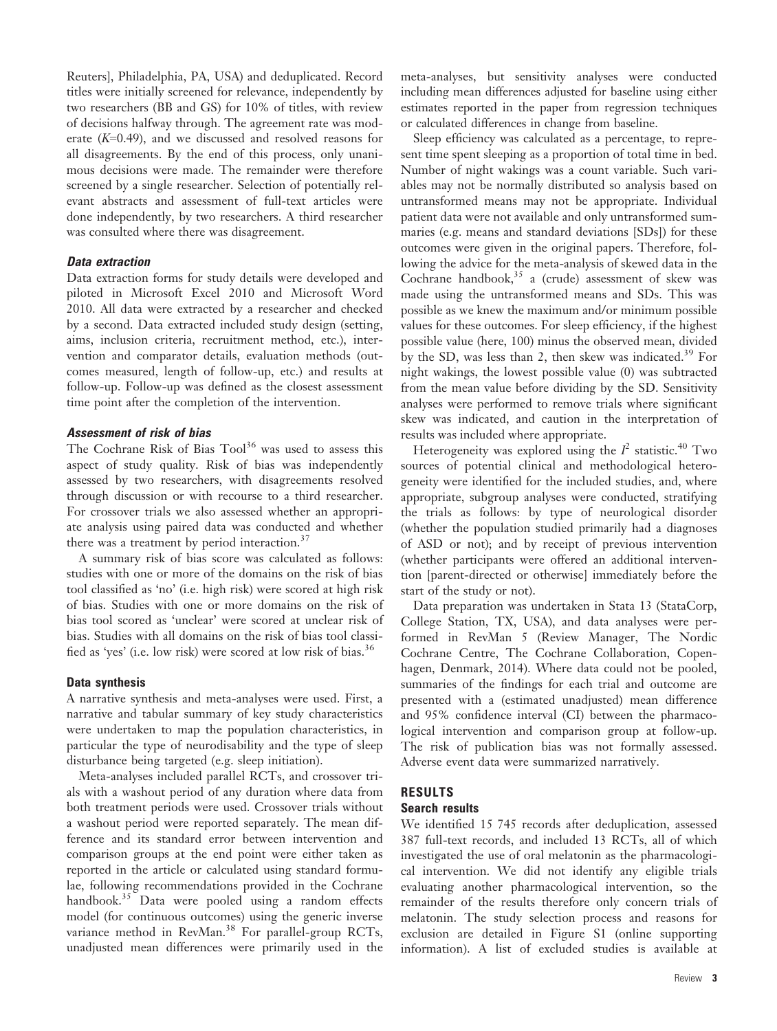Reuters], Philadelphia, PA, USA) and deduplicated. Record titles were initially screened for relevance, independently by two researchers (BB and GS) for 10% of titles, with review of decisions halfway through. The agreement rate was moderate (K=0.49), and we discussed and resolved reasons for all disagreements. By the end of this process, only unanimous decisions were made. The remainder were therefore screened by a single researcher. Selection of potentially relevant abstracts and assessment of full-text articles were done independently, by two researchers. A third researcher was consulted where there was disagreement.

## Data extraction

Data extraction forms for study details were developed and piloted in Microsoft Excel 2010 and Microsoft Word 2010. All data were extracted by a researcher and checked by a second. Data extracted included study design (setting, aims, inclusion criteria, recruitment method, etc.), intervention and comparator details, evaluation methods (outcomes measured, length of follow-up, etc.) and results at follow-up. Follow-up was defined as the closest assessment time point after the completion of the intervention.

## Assessment of risk of bias

The Cochrane Risk of Bias Tool<sup>36</sup> was used to assess this aspect of study quality. Risk of bias was independently assessed by two researchers, with disagreements resolved through discussion or with recourse to a third researcher. For crossover trials we also assessed whether an appropriate analysis using paired data was conducted and whether there was a treatment by period interaction.<sup>37</sup>

A summary risk of bias score was calculated as follows: studies with one or more of the domains on the risk of bias tool classified as 'no' (i.e. high risk) were scored at high risk of bias. Studies with one or more domains on the risk of bias tool scored as 'unclear' were scored at unclear risk of bias. Studies with all domains on the risk of bias tool classified as 'yes' (i.e. low risk) were scored at low risk of bias.<sup>36</sup>

#### Data synthesis

A narrative synthesis and meta-analyses were used. First, a narrative and tabular summary of key study characteristics were undertaken to map the population characteristics, in particular the type of neurodisability and the type of sleep disturbance being targeted (e.g. sleep initiation).

Meta-analyses included parallel RCTs, and crossover trials with a washout period of any duration where data from both treatment periods were used. Crossover trials without a washout period were reported separately. The mean difference and its standard error between intervention and comparison groups at the end point were either taken as reported in the article or calculated using standard formulae, following recommendations provided in the Cochrane handbook. $35$  Data were pooled using a random effects model (for continuous outcomes) using the generic inverse variance method in RevMan.<sup>38</sup> For parallel-group RCTs, unadjusted mean differences were primarily used in the meta-analyses, but sensitivity analyses were conducted including mean differences adjusted for baseline using either estimates reported in the paper from regression techniques or calculated differences in change from baseline.

Sleep efficiency was calculated as a percentage, to represent time spent sleeping as a proportion of total time in bed. Number of night wakings was a count variable. Such variables may not be normally distributed so analysis based on untransformed means may not be appropriate. Individual patient data were not available and only untransformed summaries (e.g. means and standard deviations [SDs]) for these outcomes were given in the original papers. Therefore, following the advice for the meta-analysis of skewed data in the Cochrane handbook,  $35$  a (crude) assessment of skew was made using the untransformed means and SDs. This was possible as we knew the maximum and/or minimum possible values for these outcomes. For sleep efficiency, if the highest possible value (here, 100) minus the observed mean, divided by the SD, was less than 2, then skew was indicated.<sup>39</sup> For night wakings, the lowest possible value (0) was subtracted from the mean value before dividing by the SD. Sensitivity analyses were performed to remove trials where significant skew was indicated, and caution in the interpretation of results was included where appropriate.

Heterogeneity was explored using the  $I^2$  statistic.<sup>40</sup> Two sources of potential clinical and methodological heterogeneity were identified for the included studies, and, where appropriate, subgroup analyses were conducted, stratifying the trials as follows: by type of neurological disorder (whether the population studied primarily had a diagnoses of ASD or not); and by receipt of previous intervention (whether participants were offered an additional intervention [parent-directed or otherwise] immediately before the start of the study or not).

Data preparation was undertaken in Stata 13 (StataCorp, College Station, TX, USA), and data analyses were performed in RevMan 5 (Review Manager, The Nordic Cochrane Centre, The Cochrane Collaboration, Copenhagen, Denmark, 2014). Where data could not be pooled, summaries of the findings for each trial and outcome are presented with a (estimated unadjusted) mean difference and 95% confidence interval (CI) between the pharmacological intervention and comparison group at follow-up. The risk of publication bias was not formally assessed. Adverse event data were summarized narratively.

## RESULTS

## Search results

We identified 15 745 records after deduplication, assessed 387 full-text records, and included 13 RCTs, all of which investigated the use of oral melatonin as the pharmacological intervention. We did not identify any eligible trials evaluating another pharmacological intervention, so the remainder of the results therefore only concern trials of melatonin. The study selection process and reasons for exclusion are detailed in Figure S1 (online supporting information). A list of excluded studies is available at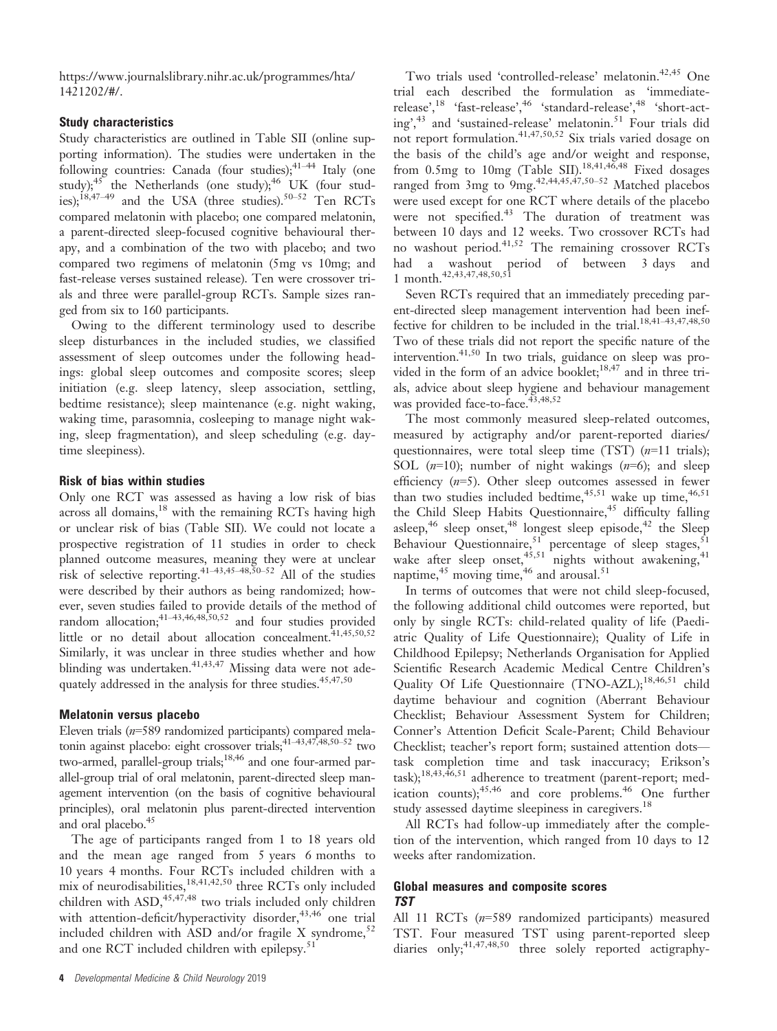[https://www.journalslibrary.nihr.ac.uk/programmes/hta/](https://www.journalslibrary.nihr.ac.uk/programmes/hta/1421202/) [1421202/](https://www.journalslibrary.nihr.ac.uk/programmes/hta/1421202/)#/.

## Study characteristics

Study characteristics are outlined in Table SII (online supporting information). The studies were undertaken in the following countries: Canada (four studies);<sup>41-44</sup> Italy (one study); $^{45}$  the Netherlands (one study); $^{46}$  UK (four studies);<sup>18,47–49</sup> and the USA (three studies).<sup>50–52</sup> Ten RCTs compared melatonin with placebo; one compared melatonin, a parent-directed sleep-focused cognitive behavioural therapy, and a combination of the two with placebo; and two compared two regimens of melatonin (5mg vs 10mg; and fast-release verses sustained release). Ten were crossover trials and three were parallel-group RCTs. Sample sizes ranged from six to 160 participants.

Owing to the different terminology used to describe sleep disturbances in the included studies, we classified assessment of sleep outcomes under the following headings: global sleep outcomes and composite scores; sleep initiation (e.g. sleep latency, sleep association, settling, bedtime resistance); sleep maintenance (e.g. night waking, waking time, parasomnia, cosleeping to manage night waking, sleep fragmentation), and sleep scheduling (e.g. daytime sleepiness).

## Risk of bias within studies

Only one RCT was assessed as having a low risk of bias across all domains,<sup>18</sup> with the remaining RCTs having high or unclear risk of bias (Table SII). We could not locate a prospective registration of 11 studies in order to check planned outcome measures, meaning they were at unclear risk of selective reporting.<sup>41–43,45–48,50–52</sup> All of the studies were described by their authors as being randomized; however, seven studies failed to provide details of the method of random allocation;  $41-43,46,48,50,52$  and four studies provided little or no detail about allocation concealment.<sup>41,45,50,52</sup> Similarly, it was unclear in three studies whether and how blinding was undertaken.<sup>41,43,47</sup> Missing data were not adequately addressed in the analysis for three studies.<sup>45,47,50</sup>

## Melatonin versus placebo

Eleven trials (n=589 randomized participants) compared melatonin against placebo: eight crossover trials;<sup>41–43,47,48,50–52</sup> two two-armed, parallel-group trials;<sup>18,46</sup> and one four-armed parallel-group trial of oral melatonin, parent-directed sleep management intervention (on the basis of cognitive behavioural principles), oral melatonin plus parent-directed intervention and oral placebo.<sup>45</sup>

The age of participants ranged from 1 to 18 years old and the mean age ranged from 5 years 6 months to 10 years 4 months. Four RCTs included children with a mix of neurodisabilities,<sup>18,41,42,50</sup> three RCTs only included children with ASD,<sup>45,47,48</sup> two trials included only children with attention-deficit/hyperactivity disorder,<sup>43,46</sup> one trial included children with ASD and/or fragile X syndrome,<sup>52</sup> and one RCT included children with epilepsy.<sup>51</sup>

Two trials used 'controlled-release' melatonin.<sup>42,45</sup> One trial each described the formulation as 'immediaterelease',<sup>18</sup> 'fast-release',<sup>46</sup> 'standard-release',<sup>48</sup> 'short-acting',<sup>43</sup> and 'sustained-release' melatonin.<sup>51</sup> Four trials did not report formulation.<sup>41,47,50,52</sup> Six trials varied dosage on the basis of the child's age and/or weight and response, from 0.5mg to 10mg (Table SII).<sup>18,41,46,48</sup> Fixed dosages ranged from 3mg to 9mg.<sup>42,44,45,47,50–52</sup> Matched placebos were used except for one RCT where details of the placebo were not specified.<sup>43</sup> The duration of treatment was between 10 days and 12 weeks. Two crossover RCTs had no washout period.41,52 The remaining crossover RCTs had a washout period of between 3 days and 1 month.42,43,47,48,50,51

Seven RCTs required that an immediately preceding parent-directed sleep management intervention had been ineffective for children to be included in the trial.<sup>18,41-43,47,48,50</sup> Two of these trials did not report the specific nature of the intervention.<sup>41,50</sup> In two trials, guidance on sleep was provided in the form of an advice booklet;<sup>18,47</sup> and in three trials, advice about sleep hygiene and behaviour management was provided face-to-face.<sup>43,48,52</sup>

The most commonly measured sleep-related outcomes, measured by actigraphy and/or parent-reported diaries/ questionnaires, were total sleep time (TST)  $(n=11 \text{ trials})$ ; SOL  $(n=10)$ ; number of night wakings  $(n=6)$ ; and sleep efficiency  $(n=5)$ . Other sleep outcomes assessed in fewer than two studies included bedtime,  $45,51$  wake up time,  $46,51$ the Child Sleep Habits Questionnaire,<sup>45</sup> difficulty falling asleep,<sup>46</sup> sleep onset,48 longest sleep episode,<sup>42</sup> the Sleep Behaviour Questionnaire,<sup>51</sup> percentage of sleep stages,<sup>51</sup> wake after sleep onset,  $45,51$  nights without awakening,  $41$ naptime, $45$  moving time, $46$  and arousal.<sup>51</sup>

In terms of outcomes that were not child sleep-focused, the following additional child outcomes were reported, but only by single RCTs: child-related quality of life (Paediatric Quality of Life Questionnaire); Quality of Life in Childhood Epilepsy; Netherlands Organisation for Applied Scientific Research Academic Medical Centre Children's Quality Of Life Questionnaire (TNO-AZL);<sup>18,46,51</sup> child daytime behaviour and cognition (Aberrant Behaviour Checklist; Behaviour Assessment System for Children; Conner's Attention Deficit Scale-Parent; Child Behaviour Checklist; teacher's report form; sustained attention dots task completion time and task inaccuracy; Erikson's task);<sup>18,43,46,51</sup> adherence to treatment (parent-report; medication counts);  $45,46$  and core problems.  $46$  One further study assessed daytime sleepiness in caregivers.<sup>18</sup>

All RCTs had follow-up immediately after the completion of the intervention, which ranged from 10 days to 12 weeks after randomization.

#### Global measures and composite scores TST

All 11 RCTs (n=589 randomized participants) measured TST. Four measured TST using parent-reported sleep diaries only;<sup>41,47,48,50</sup> three solely reported actigraphy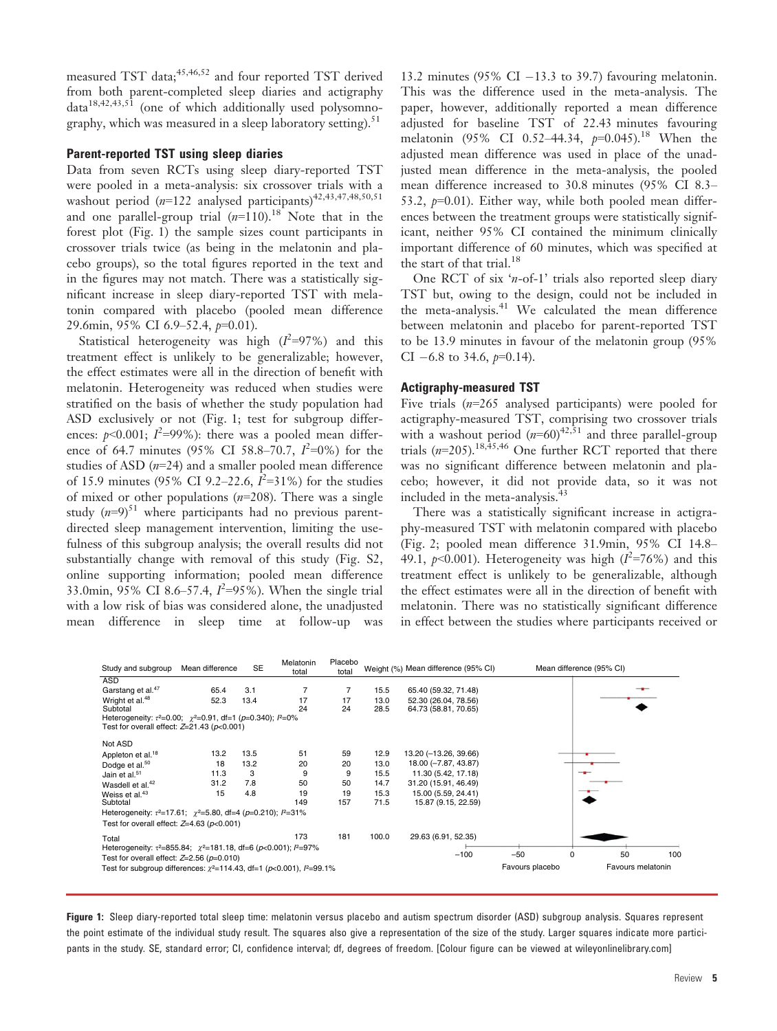measured TST data:<sup>45,46,52</sup> and four reported TST derived from both parent-completed sleep diaries and actigraphy  $data^{18,42,43,51}$  (one of which additionally used polysomnography, which was measured in a sleep laboratory setting).<sup>51</sup>

#### Parent-reported TST using sleep diaries

Data from seven RCTs using sleep diary-reported TST were pooled in a meta-analysis: six crossover trials with a washout period  $(n=122 \text{ analysed participants})^{42,43,47,48,50,51}$ and one parallel-group trial  $(n=110)$ .<sup>18</sup> Note that in the forest plot (Fig. 1) the sample sizes count participants in crossover trials twice (as being in the melatonin and placebo groups), so the total figures reported in the text and in the figures may not match. There was a statistically significant increase in sleep diary-reported TST with melatonin compared with placebo (pooled mean difference 29.6min, 95% CI 6.9–52.4, p=0.01).

Statistical heterogeneity was high  $(I^2=97\%)$  and this treatment effect is unlikely to be generalizable; however, the effect estimates were all in the direction of benefit with melatonin. Heterogeneity was reduced when studies were stratified on the basis of whether the study population had ASD exclusively or not (Fig. 1; test for subgroup differences:  $p$ <0.001;  $I^2$ =99%): there was a pooled mean difference of 64.7 minutes (95% CI 58.8–70.7,  $I^2=0\%$ ) for the studies of ASD  $(n=24)$  and a smaller pooled mean difference of 15.9 minutes (95% CI 9.2–22.6,  $\vec{l}^2$ =31%) for the studies of mixed or other populations  $(n=208)$ . There was a single study  $(n=9)^{51}$  where participants had no previous parentdirected sleep management intervention, limiting the usefulness of this subgroup analysis; the overall results did not substantially change with removal of this study (Fig. S2, online supporting information; pooled mean difference 33.0min, 95% CI 8.6–57.4,  $I^2$ =95%). When the single trial with a low risk of bias was considered alone, the unadjusted mean difference in sleep time at follow-up was

13.2 minutes (95% CI  $-13.3$  to 39.7) favouring melatonin. This was the difference used in the meta-analysis. The paper, however, additionally reported a mean difference adjusted for baseline TST of 22.43 minutes favouring melatonin (95% CI 0.52–44.34,  $p=0.045$ ).<sup>18</sup> When the adjusted mean difference was used in place of the unadjusted mean difference in the meta-analysis, the pooled mean difference increased to 30.8 minutes (95% CI 8.3– 53.2,  $p=0.01$ ). Either way, while both pooled mean differences between the treatment groups were statistically significant, neither 95% CI contained the minimum clinically important difference of 60 minutes, which was specified at the start of that trial.<sup>18</sup>

One RCT of six 'n-of-1' trials also reported sleep diary TST but, owing to the design, could not be included in the meta-analysis.<sup>41</sup> We calculated the mean difference between melatonin and placebo for parent-reported TST to be 13.9 minutes in favour of the melatonin group (95% CI  $-6.8$  to 34.6,  $p=0.14$ ).

#### Actigraphy-measured TST

Five trials  $(n=265)$  analysed participants) were pooled for actigraphy-measured TST, comprising two crossover trials with a washout period  $(n=60)^{42,51}$  and three parallel-group trials  $(n=205)$ .<sup>18,45,46</sup> One further RCT reported that there was no significant difference between melatonin and placebo; however, it did not provide data, so it was not included in the meta-analysis.<sup>43</sup>

There was a statistically significant increase in actigraphy-measured TST with melatonin compared with placebo (Fig. 2; pooled mean difference 31.9min, 95% CI 14.8– 49.1,  $p<0.001$ ). Heterogeneity was high ( $l^2$ =76%) and this treatment effect is unlikely to be generalizable, although the effect estimates were all in the direction of benefit with melatonin. There was no statistically significant difference in effect between the studies where participants received or

| Study and subgroup                                                                                                                 | Mean difference | <b>SE</b> | Melatonin<br>total | Placebo<br>Weight (%) Mean difference (95% CI)<br>total |          | Mean difference (95% CI) |     |  |  |  |
|------------------------------------------------------------------------------------------------------------------------------------|-----------------|-----------|--------------------|---------------------------------------------------------|----------|--------------------------|-----|--|--|--|
| ASD                                                                                                                                |                 |           |                    |                                                         |          |                          |     |  |  |  |
| Garstang et al. <sup>47</sup>                                                                                                      | 65.4            | 3.1       |                    |                                                         | 15.5     | 65.40 (59.32, 71.48)     |     |  |  |  |
| Wright et al. <sup>48</sup>                                                                                                        | 52.3            | 13.4      | 17                 | 17                                                      | 13.0     | 52.30 (26.04, 78.56)     |     |  |  |  |
| Subtotal                                                                                                                           |                 |           | 24                 | 24                                                      | 28.5     | 64.73 (58.81, 70.65)     |     |  |  |  |
| Heterogeneity: $\tau^2 = 0.00$ ; $\chi^2 = 0.91$ , df=1 (p=0.340); $l^2 = 0\%$<br>Test for overall effect: $Z=21.43$ ( $p<0.001$ ) |                 |           |                    |                                                         |          |                          |     |  |  |  |
| Not ASD                                                                                                                            |                 |           |                    |                                                         |          |                          |     |  |  |  |
| Appleton et al. <sup>18</sup>                                                                                                      | 13.2            | 13.5      | 51                 | 59                                                      | 12.9     | 13.20 (-13.26, 39.66)    |     |  |  |  |
| Dodge et al. <sup>50</sup>                                                                                                         | 18              | 13.2      | 20                 | 20                                                      | 13.0     | 18.00 (-7.87, 43.87)     |     |  |  |  |
| Jain et al. <sup>51</sup>                                                                                                          | 11.3            | 3         | 9                  | 9                                                       | 15.5     | 11.30 (5.42, 17.18)      |     |  |  |  |
| Wasdell et al. <sup>42</sup>                                                                                                       | 31.2            | 7.8       | 50                 | 50                                                      | 14.7     | 31.20 (15.91, 46.49)     |     |  |  |  |
| Weiss et al. <sup>43</sup>                                                                                                         | 15              | 4.8       | 19                 | 19                                                      | 15.3     | 15.00 (5.59, 24.41)      |     |  |  |  |
| Subtotal                                                                                                                           |                 |           | 149                | 157                                                     | 71.5     | 15.87 (9.15, 22.59)      |     |  |  |  |
| Heterogeneity: $\tau^2 = 17.61$ ; $\chi^2 = 5.80$ , df=4 (p=0.210); $l^2 = 31\%$                                                   |                 |           |                    |                                                         |          |                          |     |  |  |  |
| Test for overall effect: $Z=4.63$ ( $p<0.001$ )                                                                                    |                 |           |                    |                                                         |          |                          |     |  |  |  |
| Total                                                                                                                              |                 |           | 173                | 181                                                     | 100.0    | 29.63 (6.91, 52.35)      |     |  |  |  |
| Heterogeneity: τ <sup>2</sup> =855.84; $\chi$ <sup>2</sup> =181.18, df=6 (p<0.001); $l^2$ =97%                                     |                 |           |                    |                                                         |          |                          |     |  |  |  |
| Test for overall effect: $Z=2.56$ ( $p=0.010$ )                                                                                    |                 |           | $-100$             | $-50$                                                   | $\Omega$ | 50                       | 100 |  |  |  |
| Test for subgroup differences: $\chi^2$ =114.43, df=1 (p<0.001), $\chi^2$ =99.1%                                                   |                 |           |                    | Favours placebo                                         |          | Favours melatonin        |     |  |  |  |

Figure 1: Sleep diary-reported total sleep time: melatonin versus placebo and autism spectrum disorder (ASD) subgroup analysis. Squares represent the point estimate of the individual study result. The squares also give a representation of the size of the study. Larger squares indicate more participants in the study. SE, standard error; CI, confidence interval; df, degrees of freedom. [Colour figure can be viewed at wileyonlinelibrary.com]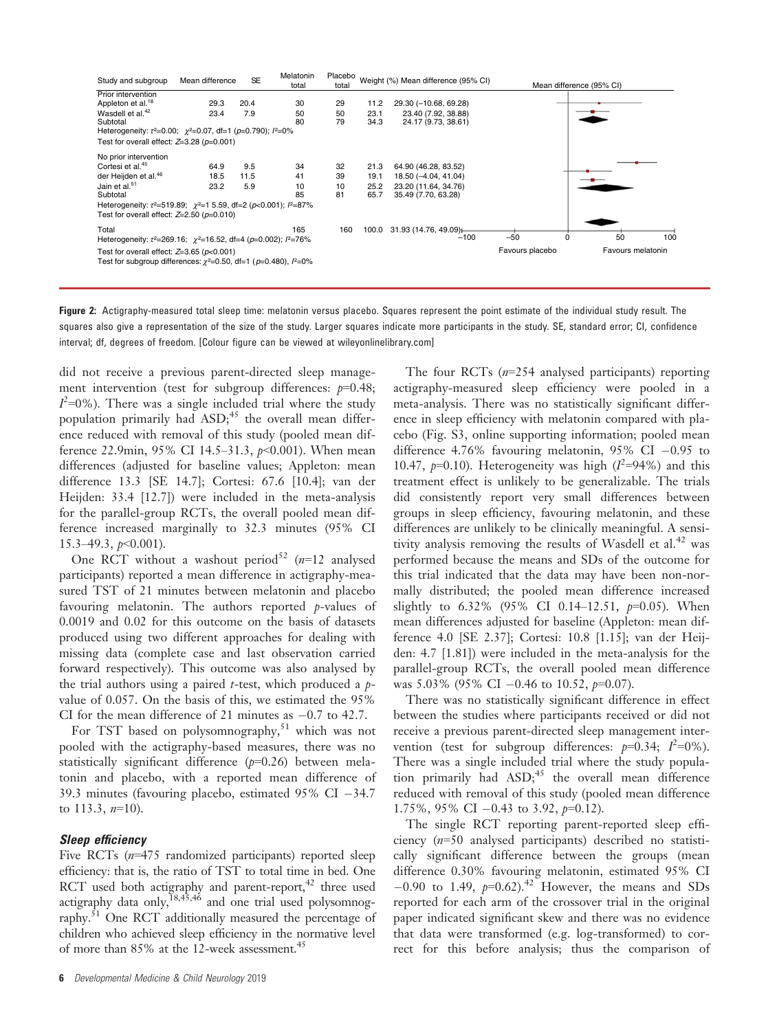| Study and subgroup                                                                    | Mean difference | <b>SE</b> | Melatonin<br>total | Placebo<br>total |       | Weight (%) Mean difference (95% CI) |                 | Mean difference (95% CI) |                   |
|---------------------------------------------------------------------------------------|-----------------|-----------|--------------------|------------------|-------|-------------------------------------|-----------------|--------------------------|-------------------|
| Prior intervention                                                                    |                 |           |                    |                  |       |                                     |                 |                          |                   |
| Appleton et al. <sup>18</sup>                                                         | 29.3            | 20.4      | 30                 | 29               | 11.2  | 29.30 (-10.68, 69.28)               |                 |                          |                   |
| Wasdell et al. <sup>42</sup>                                                          | 23.4            | 7.9       | 50                 | 50               | 23.1  | 23.40 (7.92, 38.88)                 |                 |                          |                   |
| Subtotal                                                                              |                 |           | 80                 | 79               | 34.3  | 24.17 (9.73, 38.61)                 |                 |                          |                   |
| Heterogeneity: $\tau^2 = 0.00$ ; $\chi^2 = 0.07$ , df=1 (p=0.790); $l^2 = 0\%$        |                 |           |                    |                  |       |                                     |                 |                          |                   |
| Test for overall effect: $Z=3.28$ ( $p=0.001$ )                                       |                 |           |                    |                  |       |                                     |                 |                          |                   |
| No prior intervention                                                                 |                 |           |                    |                  |       |                                     |                 |                          |                   |
| Cortesi et al. <sup>45</sup>                                                          | 64.9            | 9.5       | 34                 | 32               | 21.3  | 64.90 (46.28, 83.52)                |                 |                          |                   |
| der Heijden et al. <sup>46</sup>                                                      | 18.5            | 11.5      | 41                 | 39               | 19.1  | 18.50 (-4.04, 41.04)                |                 |                          |                   |
| Jain et al. <sup>51</sup>                                                             | 23.2            | 5.9       | 10                 | 10               | 25.2  | 23.20 (11.64, 34.76)                |                 |                          |                   |
| Subtotal                                                                              |                 |           | 85                 | 81               | 65.7  | 35.49 (7.70, 63.28)                 |                 |                          |                   |
| Heterogeneity: $\tau^2 = 519.89$ ; $\chi^2 = 15.59$ , df=2 (p<0.001); $l^2 = 87\%$    |                 |           |                    |                  |       |                                     |                 |                          |                   |
| Test for overall effect: $Z=2.50$ ( $p=0.010$ )                                       |                 |           |                    |                  |       |                                     |                 |                          |                   |
| Total                                                                                 |                 |           | 165                | 160              | 100.0 | 31.93 (14.76, 49.09)                |                 |                          |                   |
| Heterogeneity: $\tau^2 = 269.16$ ; $\chi^2 = 16.52$ , df=4 (p=0.002); $\ell^2 = 76\%$ |                 |           |                    |                  |       | $-100$                              | $-50$           | 50<br>$\Omega$           | 100               |
| Test for overall effect: $Z=3.65$ ( $p<0.001$ )                                       |                 |           |                    |                  |       |                                     | Favours placebo |                          | Favours melatonin |
| Test for subgroup differences: $\chi^2$ =0.50, df=1 ( $p$ =0.480), $l^2$ =0%          |                 |           |                    |                  |       |                                     |                 |                          |                   |
|                                                                                       |                 |           |                    |                  |       |                                     |                 |                          |                   |
|                                                                                       |                 |           |                    |                  |       |                                     |                 |                          |                   |

Figure 2: Actigraphy-measured total sleep time: melatonin versus placebo. Squares represent the point estimate of the individual study result. The squares also give a representation of the size of the study. Larger squares indicate more participants in the study. SE, standard error; CI, confidence interval; df, degrees of freedom. [Colour figure can be viewed at wileyonlinelibrary.com]

did not receive a previous parent-directed sleep management intervention (test for subgroup differences:  $p=0.48$ ;  $I^2$ =0%). There was a single included trial where the study population primarily had  $ASD;^{45}$  the overall mean difference reduced with removal of this study (pooled mean difference 22.9min, 95% CI 14.5–31.3,  $p<0.001$ ). When mean differences (adjusted for baseline values; Appleton: mean difference 13.3 [SE 14.7]; Cortesi: 67.6 [10.4]; van der Heijden: 33.4 [12.7]) were included in the meta-analysis for the parallel-group RCTs, the overall pooled mean difference increased marginally to 32.3 minutes (95% CI  $15.3-49.3, p<0.001$ ).

One RCT without a washout period<sup>52</sup> ( $n=12$  analysed participants) reported a mean difference in actigraphy-measured TST of 21 minutes between melatonin and placebo favouring melatonin. The authors reported p-values of 0.0019 and 0.02 for this outcome on the basis of datasets produced using two different approaches for dealing with missing data (complete case and last observation carried forward respectively). This outcome was also analysed by the trial authors using a paired  $t$ -test, which produced a  $p$ value of 0.057. On the basis of this, we estimated the 95% CI for the mean difference of 21 minutes as  $-0.7$  to 42.7.

For TST based on polysomnography,<sup>51</sup> which was not pooled with the actigraphy-based measures, there was no statistically significant difference  $(p=0.26)$  between melatonin and placebo, with a reported mean difference of 39.3 minutes (favouring placebo, estimated 95% CI  $-34.7$ to 113.3,  $n=10$ ).

### Sleep efficiency

Five RCTs ( $n=475$  randomized participants) reported sleep efficiency: that is, the ratio of TST to total time in bed. One RCT used both actigraphy and parent-report,<sup>42</sup> three used actigraphy data only,<sup>18,45,46</sup> and one trial used polysomnography.<sup>51</sup> One RCT additionally measured the percentage of children who achieved sleep efficiency in the normative level of more than  $85\%$  at the 12-week assessment.<sup>45</sup>

The four RCTs  $(n=254)$  analysed participants) reporting actigraphy-measured sleep efficiency were pooled in a meta-analysis. There was no statistically significant difference in sleep efficiency with melatonin compared with placebo (Fig. S3, online supporting information; pooled mean difference 4.76% favouring melatonin, 95% CI  $-0.95$  to 10.47,  $p=0.10$ ). Heterogeneity was high ( $l^2=94\%$ ) and this treatment effect is unlikely to be generalizable. The trials did consistently report very small differences between groups in sleep efficiency, favouring melatonin, and these differences are unlikely to be clinically meaningful. A sensitivity analysis removing the results of Wasdell et al.<sup>42</sup> was performed because the means and SDs of the outcome for this trial indicated that the data may have been non-normally distributed; the pooled mean difference increased slightly to  $6.32\%$  (95% CI 0.14–12.51,  $p=0.05$ ). When mean differences adjusted for baseline (Appleton: mean difference 4.0 [SE 2.37]; Cortesi: 10.8 [1.15]; van der Heijden: 4.7 [1.81]) were included in the meta-analysis for the parallel-group RCTs, the overall pooled mean difference was  $5.03\%$  (95% CI -0.46 to 10.52, p=0.07).

There was no statistically significant difference in effect between the studies where participants received or did not receive a previous parent-directed sleep management intervention (test for subgroup differences:  $p=0.34$ ;  $I^2=0\%$ ). There was a single included trial where the study population primarily had  $ASD$ ;<sup>45</sup> the overall mean difference reduced with removal of this study (pooled mean difference 1.75%, 95% CI  $-0.43$  to 3.92, p=0.12).

The single RCT reporting parent-reported sleep efficiency (n=50 analysed participants) described no statistically significant difference between the groups (mean difference 0.30% favouring melatonin, estimated 95% CI  $-0.90$  to 1.49,  $p=0.62$ ).<sup>42</sup> However, the means and SDs reported for each arm of the crossover trial in the original paper indicated significant skew and there was no evidence that data were transformed (e.g. log-transformed) to correct for this before analysis; thus the comparison of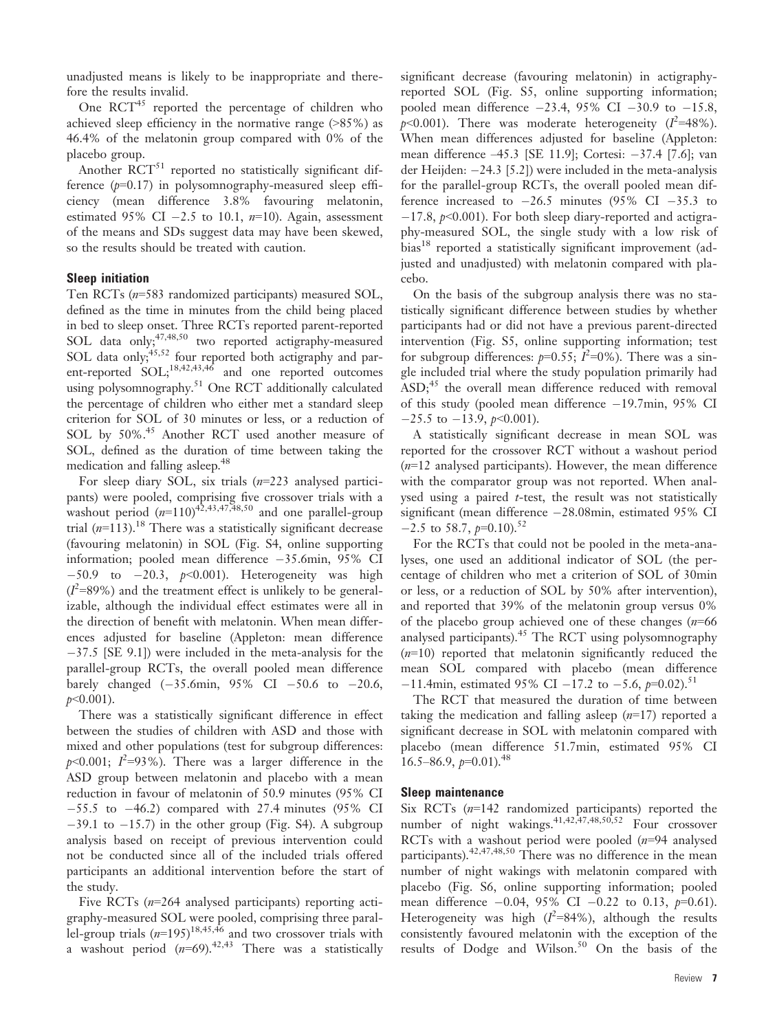unadjusted means is likely to be inappropriate and therefore the results invalid.

One RCT<sup>45</sup> reported the percentage of children who achieved sleep efficiency in the normative range (>85%) as 46.4% of the melatonin group compared with 0% of the placebo group.

Another  $\hat{R}CT^{51}$  reported no statistically significant difference  $(p=0.17)$  in polysomnography-measured sleep efficiency (mean difference 3.8% favouring melatonin, estimated 95% CI  $-2.5$  to 10.1,  $n=10$ ). Again, assessment of the means and SDs suggest data may have been skewed, so the results should be treated with caution.

## Sleep initiation

Ten RCTs (n=583 randomized participants) measured SOL, defined as the time in minutes from the child being placed in bed to sleep onset. Three RCTs reported parent-reported SOL data only;<sup>47,48,50</sup> two reported actigraphy-measured SOL data only;<sup>45,52</sup> four reported both actigraphy and parent-reported SOL;<sup>18,42,43,46</sup> and one reported outcomes using polysomnography.<sup>51</sup> One RCT additionally calculated the percentage of children who either met a standard sleep criterion for SOL of 30 minutes or less, or a reduction of SOL by 50%.<sup>45</sup> Another RCT used another measure of SOL, defined as the duration of time between taking the medication and falling asleep.<sup>48</sup>

For sleep diary SOL, six trials (n=223 analysed participants) were pooled, comprising five crossover trials with a washout period  $(n=110)^{42,43,47,48,50}$  and one parallel-group trial  $(n=113)$ .<sup>18</sup> There was a statistically significant decrease (favouring melatonin) in SOL (Fig. S4, online supporting information; pooled mean difference  $-35.6$ min,  $95\%$  CI  $-50.9$  to  $-20.3$ ,  $p<0.001$ ). Heterogeneity was high  $(I<sup>2</sup>=89%)$  and the treatment effect is unlikely to be generalizable, although the individual effect estimates were all in the direction of benefit with melatonin. When mean differences adjusted for baseline (Appleton: mean difference  $-37.5$  [SE 9.1]) were included in the meta-analysis for the parallel-group RCTs, the overall pooled mean difference barely changed  $(-35.6)$ min,  $95\%$  CI  $-50.6$  to  $-20.6$ ,  $p<0.001$ ).

There was a statistically significant difference in effect between the studies of children with ASD and those with mixed and other populations (test for subgroup differences:  $p$ <0.001;  $I^2$ =93%). There was a larger difference in the ASD group between melatonin and placebo with a mean reduction in favour of melatonin of 50.9 minutes (95% CI  $-55.5$  to  $-46.2$ ) compared with 27.4 minutes (95% CI  $-39.1$  to  $-15.7$ ) in the other group (Fig. S4). A subgroup analysis based on receipt of previous intervention could not be conducted since all of the included trials offered participants an additional intervention before the start of the study.

Five RCTs (n=264 analysed participants) reporting actigraphy-measured SOL were pooled, comprising three parallel-group trials  $(n=195)^{18,45,46}$  and two crossover trials with a washout period  $(n=69)$ .<sup>42,43</sup> There was a statistically significant decrease (favouring melatonin) in actigraphyreported SOL (Fig. S5, online supporting information; pooled mean difference  $-23.4$ , 95% CI  $-30.9$  to  $-15.8$ ,  $p$ <0.001). There was moderate heterogeneity ( $l^2$ =48%). When mean differences adjusted for baseline (Appleton: mean difference –45.3 [SE 11.9]; Cortesi: –37.4 [7.6]; van der Heijden:  $-24.3$  [5.2]) were included in the meta-analysis for the parallel-group RCTs, the overall pooled mean difference increased to  $-26.5$  minutes (95% CI  $-35.3$  to  $-17.8$ ,  $p<0.001$ ). For both sleep diary-reported and actigraphy-measured SOL, the single study with a low risk of bias<sup>18</sup> reported a statistically significant improvement (adjusted and unadjusted) with melatonin compared with placebo.

On the basis of the subgroup analysis there was no statistically significant difference between studies by whether participants had or did not have a previous parent-directed intervention (Fig. S5, online supporting information; test for subgroup differences:  $p=0.55$ ;  $I^2=0$ %). There was a single included trial where the study population primarily had  $ASD;^{45}$  the overall mean difference reduced with removal of this study (pooled mean difference  $-19.7$ min, 95% CI  $-25.5$  to  $-13.9$ ,  $p<0.001$ ).

A statistically significant decrease in mean SOL was reported for the crossover RCT without a washout period  $(n=12)$  analysed participants). However, the mean difference with the comparator group was not reported. When analysed using a paired t-test, the result was not statistically significant (mean difference  $-28.08$ min, estimated 95% CI  $-2.5$  to 58.7,  $p=0.10$ .<sup>52</sup>

For the RCTs that could not be pooled in the meta-analyses, one used an additional indicator of SOL (the percentage of children who met a criterion of SOL of 30min or less, or a reduction of SOL by 50% after intervention), and reported that 39% of the melatonin group versus 0% of the placebo group achieved one of these changes  $(n=66$ analysed participants). <sup>45</sup> The RCT using polysomnography  $(n=10)$  reported that melatonin significantly reduced the mean SOL compared with placebo (mean difference  $-11.4$ min, estimated 95% CI  $-17.2$  to  $-5.6$ , p=0.02).<sup>51</sup>

The RCT that measured the duration of time between taking the medication and falling asleep  $(n=17)$  reported a significant decrease in SOL with melatonin compared with placebo (mean difference 51.7min, estimated 95% CI  $16.5–86.9, p=0.01$ <sup>48</sup>

## Sleep maintenance

Six RCTs (n=142 randomized participants) reported the number of night wakings.<sup>41,42,47,48,50,52</sup> Four crossover RCTs with a washout period were pooled  $(n=94)$  analysed participants).<sup>42,47,48,50</sup> There was no difference in the mean number of night wakings with melatonin compared with placebo (Fig. S6, online supporting information; pooled mean difference  $-0.04$ , 95% CI  $-0.22$  to 0.13, p=0.61). Heterogeneity was high  $(I^2=84\%)$ , although the results consistently favoured melatonin with the exception of the results of Dodge and Wilson.<sup>50</sup> On the basis of the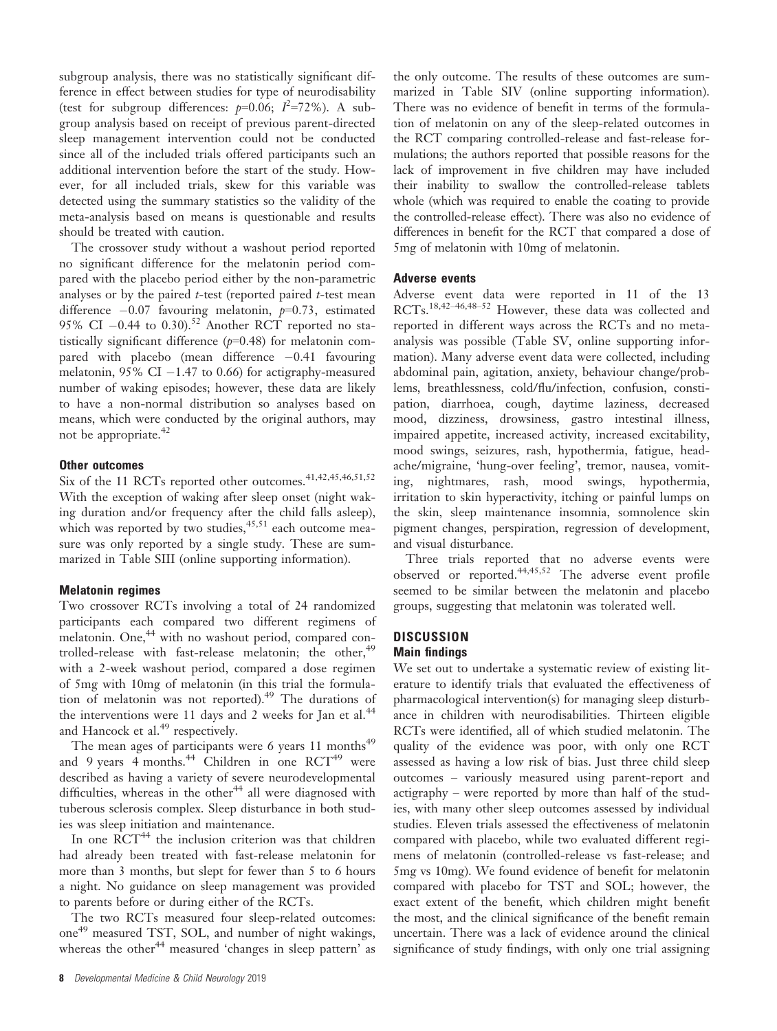subgroup analysis, there was no statistically significant difference in effect between studies for type of neurodisability (test for subgroup differences:  $p=0.06$ ;  $I^2=72$ %). A subgroup analysis based on receipt of previous parent-directed sleep management intervention could not be conducted since all of the included trials offered participants such an additional intervention before the start of the study. However, for all included trials, skew for this variable was detected using the summary statistics so the validity of the meta-analysis based on means is questionable and results should be treated with caution.

The crossover study without a washout period reported no significant difference for the melatonin period compared with the placebo period either by the non-parametric analyses or by the paired  $t$ -test (reported paired  $t$ -test mean difference  $-0.07$  favouring melatonin,  $p=0.73$ , estimated 95% CI  $-0.44$  to 0.30).<sup>52</sup> Another RCT reported no statistically significant difference  $(p=0.48)$  for melatonin compared with placebo (mean difference  $-0.41$  favouring melatonin, 95% CI  $-1.47$  to 0.66) for actigraphy-measured number of waking episodes; however, these data are likely to have a non-normal distribution so analyses based on means, which were conducted by the original authors, may not be appropriate.<sup>42</sup>

## Other outcomes

Six of the 11 RCTs reported other outcomes.<sup>41,42,45,46,51,52</sup> With the exception of waking after sleep onset (night waking duration and/or frequency after the child falls asleep), which was reported by two studies,  $45,51$  each outcome measure was only reported by a single study. These are summarized in Table SIII (online supporting information).

## Melatonin regimes

Two crossover RCTs involving a total of 24 randomized participants each compared two different regimens of melatonin. One,<sup>44</sup> with no washout period, compared controlled-release with fast-release melatonin; the other, $49$ with a 2-week washout period, compared a dose regimen of 5mg with 10mg of melatonin (in this trial the formulation of melatonin was not reported).<sup>49</sup> The durations of the interventions were 11 days and 2 weeks for Jan et al.<sup>44</sup> and Hancock et al.<sup>49</sup> respectively.

The mean ages of participants were  $6$  years 11 months<sup>49</sup> and 9 years  $\frac{4}{3}$  months.<sup>44</sup> Children in one RCT<sup>49</sup> were described as having a variety of severe neurodevelopmental difficulties, whereas in the other<sup>44</sup> all were diagnosed with tuberous sclerosis complex. Sleep disturbance in both studies was sleep initiation and maintenance.

In one  $\mathrm{RCT}^{44}$  the inclusion criterion was that children had already been treated with fast-release melatonin for more than 3 months, but slept for fewer than 5 to 6 hours a night. No guidance on sleep management was provided to parents before or during either of the RCTs.

The two RCTs measured four sleep-related outcomes: one<sup>49</sup> measured TST, SOL, and number of night wakings, whereas the other<sup>44</sup> measured 'changes in sleep pattern' as

the only outcome. The results of these outcomes are summarized in Table SIV (online supporting information). There was no evidence of benefit in terms of the formulation of melatonin on any of the sleep-related outcomes in the RCT comparing controlled-release and fast-release formulations; the authors reported that possible reasons for the lack of improvement in five children may have included their inability to swallow the controlled-release tablets whole (which was required to enable the coating to provide the controlled-release effect). There was also no evidence of differences in benefit for the RCT that compared a dose of 5mg of melatonin with 10mg of melatonin.

#### Adverse events

Adverse event data were reported in 11 of the 13 RCTs.18,42–46,48–<sup>52</sup> However, these data was collected and reported in different ways across the RCTs and no metaanalysis was possible (Table SV, online supporting information). Many adverse event data were collected, including abdominal pain, agitation, anxiety, behaviour change/problems, breathlessness, cold/flu/infection, confusion, constipation, diarrhoea, cough, daytime laziness, decreased mood, dizziness, drowsiness, gastro intestinal illness, impaired appetite, increased activity, increased excitability, mood swings, seizures, rash, hypothermia, fatigue, headache/migraine, 'hung-over feeling', tremor, nausea, vomiting, nightmares, rash, mood swings, hypothermia, irritation to skin hyperactivity, itching or painful lumps on the skin, sleep maintenance insomnia, somnolence skin pigment changes, perspiration, regression of development, and visual disturbance.

Three trials reported that no adverse events were observed or reported. $44,45,52$  The adverse event profile seemed to be similar between the melatonin and placebo groups, suggesting that melatonin was tolerated well.

## **DISCUSSION**

## Main findings

We set out to undertake a systematic review of existing literature to identify trials that evaluated the effectiveness of pharmacological intervention(s) for managing sleep disturbance in children with neurodisabilities. Thirteen eligible RCTs were identified, all of which studied melatonin. The quality of the evidence was poor, with only one RCT assessed as having a low risk of bias. Just three child sleep outcomes – variously measured using parent-report and actigraphy – were reported by more than half of the studies, with many other sleep outcomes assessed by individual studies. Eleven trials assessed the effectiveness of melatonin compared with placebo, while two evaluated different regimens of melatonin (controlled-release vs fast-release; and 5mg vs 10mg). We found evidence of benefit for melatonin compared with placebo for TST and SOL; however, the exact extent of the benefit, which children might benefit the most, and the clinical significance of the benefit remain uncertain. There was a lack of evidence around the clinical significance of study findings, with only one trial assigning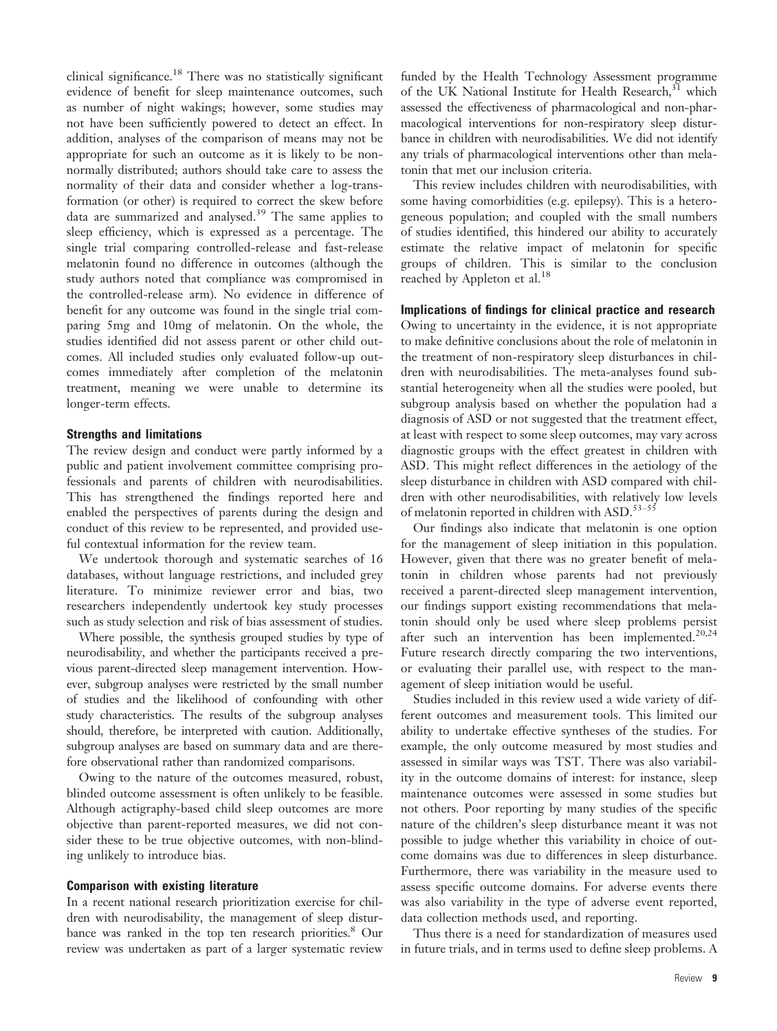clinical significance.<sup>18</sup> There was no statistically significant evidence of benefit for sleep maintenance outcomes, such as number of night wakings; however, some studies may not have been sufficiently powered to detect an effect. In addition, analyses of the comparison of means may not be appropriate for such an outcome as it is likely to be nonnormally distributed; authors should take care to assess the normality of their data and consider whether a log-transformation (or other) is required to correct the skew before data are summarized and analysed.<sup>39</sup> The same applies to sleep efficiency, which is expressed as a percentage. The single trial comparing controlled-release and fast-release melatonin found no difference in outcomes (although the study authors noted that compliance was compromised in the controlled-release arm). No evidence in difference of benefit for any outcome was found in the single trial comparing 5mg and 10mg of melatonin. On the whole, the studies identified did not assess parent or other child outcomes. All included studies only evaluated follow-up outcomes immediately after completion of the melatonin treatment, meaning we were unable to determine its longer-term effects.

#### Strengths and limitations

The review design and conduct were partly informed by a public and patient involvement committee comprising professionals and parents of children with neurodisabilities. This has strengthened the findings reported here and enabled the perspectives of parents during the design and conduct of this review to be represented, and provided useful contextual information for the review team.

We undertook thorough and systematic searches of 16 databases, without language restrictions, and included grey literature. To minimize reviewer error and bias, two researchers independently undertook key study processes such as study selection and risk of bias assessment of studies.

Where possible, the synthesis grouped studies by type of neurodisability, and whether the participants received a previous parent-directed sleep management intervention. However, subgroup analyses were restricted by the small number of studies and the likelihood of confounding with other study characteristics. The results of the subgroup analyses should, therefore, be interpreted with caution. Additionally, subgroup analyses are based on summary data and are therefore observational rather than randomized comparisons.

Owing to the nature of the outcomes measured, robust, blinded outcome assessment is often unlikely to be feasible. Although actigraphy-based child sleep outcomes are more objective than parent-reported measures, we did not consider these to be true objective outcomes, with non-blinding unlikely to introduce bias.

#### Comparison with existing literature

In a recent national research prioritization exercise for children with neurodisability, the management of sleep disturbance was ranked in the top ten research priorities.<sup>8</sup> Our review was undertaken as part of a larger systematic review

funded by the Health Technology Assessment programme of the UK National Institute for Health Research,<sup>31</sup> which assessed the effectiveness of pharmacological and non-pharmacological interventions for non-respiratory sleep disturbance in children with neurodisabilities. We did not identify any trials of pharmacological interventions other than melatonin that met our inclusion criteria.

This review includes children with neurodisabilities, with some having comorbidities (e.g. epilepsy). This is a heterogeneous population; and coupled with the small numbers of studies identified, this hindered our ability to accurately estimate the relative impact of melatonin for specific groups of children. This is similar to the conclusion reached by Appleton et al.<sup>18</sup>

#### Implications of findings for clinical practice and research

Owing to uncertainty in the evidence, it is not appropriate to make definitive conclusions about the role of melatonin in the treatment of non-respiratory sleep disturbances in children with neurodisabilities. The meta-analyses found substantial heterogeneity when all the studies were pooled, but subgroup analysis based on whether the population had a diagnosis of ASD or not suggested that the treatment effect, at least with respect to some sleep outcomes, may vary across diagnostic groups with the effect greatest in children with ASD. This might reflect differences in the aetiology of the sleep disturbance in children with ASD compared with children with other neurodisabilities, with relatively low levels of melatonin reported in children with  $ASD$ .<sup>53–55</sup>

Our findings also indicate that melatonin is one option for the management of sleep initiation in this population. However, given that there was no greater benefit of melatonin in children whose parents had not previously received a parent-directed sleep management intervention, our findings support existing recommendations that melatonin should only be used where sleep problems persist after such an intervention has been implemented.<sup>20,24</sup> Future research directly comparing the two interventions, or evaluating their parallel use, with respect to the management of sleep initiation would be useful.

Studies included in this review used a wide variety of different outcomes and measurement tools. This limited our ability to undertake effective syntheses of the studies. For example, the only outcome measured by most studies and assessed in similar ways was TST. There was also variability in the outcome domains of interest: for instance, sleep maintenance outcomes were assessed in some studies but not others. Poor reporting by many studies of the specific nature of the children's sleep disturbance meant it was not possible to judge whether this variability in choice of outcome domains was due to differences in sleep disturbance. Furthermore, there was variability in the measure used to assess specific outcome domains. For adverse events there was also variability in the type of adverse event reported, data collection methods used, and reporting.

Thus there is a need for standardization of measures used in future trials, and in terms used to define sleep problems. A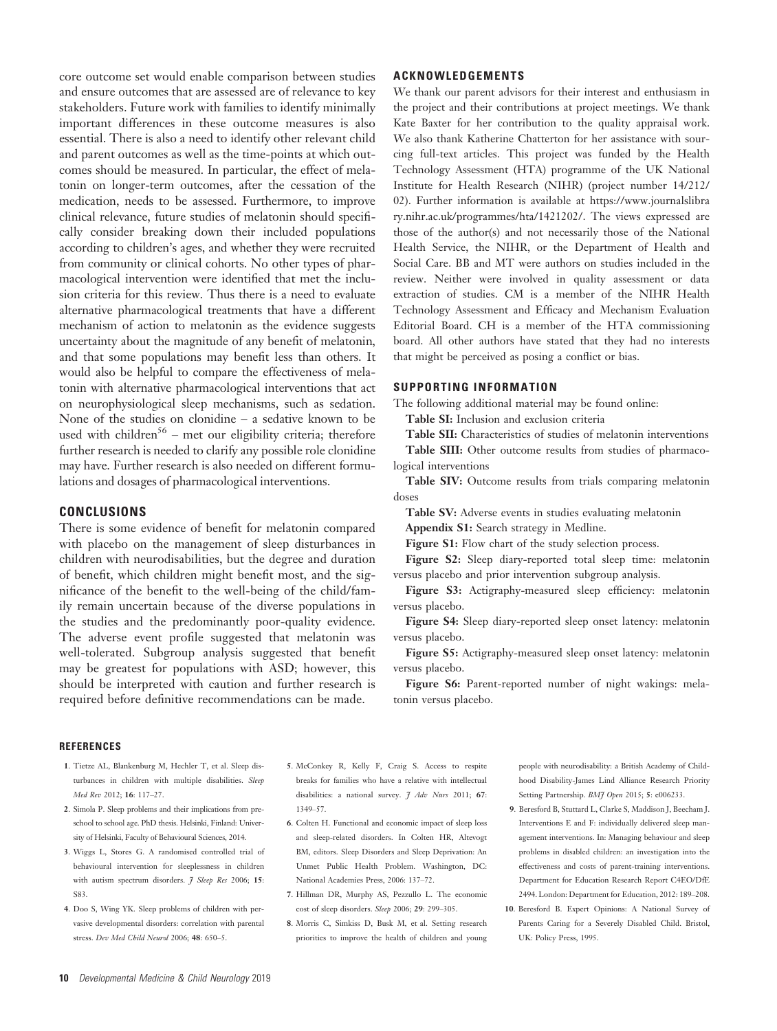core outcome set would enable comparison between studies and ensure outcomes that are assessed are of relevance to key stakeholders. Future work with families to identify minimally important differences in these outcome measures is also essential. There is also a need to identify other relevant child and parent outcomes as well as the time-points at which outcomes should be measured. In particular, the effect of melatonin on longer-term outcomes, after the cessation of the medication, needs to be assessed. Furthermore, to improve clinical relevance, future studies of melatonin should specifically consider breaking down their included populations according to children's ages, and whether they were recruited from community or clinical cohorts. No other types of pharmacological intervention were identified that met the inclusion criteria for this review. Thus there is a need to evaluate alternative pharmacological treatments that have a different mechanism of action to melatonin as the evidence suggests uncertainty about the magnitude of any benefit of melatonin, and that some populations may benefit less than others. It would also be helpful to compare the effectiveness of melatonin with alternative pharmacological interventions that act on neurophysiological sleep mechanisms, such as sedation. None of the studies on clonidine – a sedative known to be used with children<sup>56</sup> – met our eligibility criteria; therefore further research is needed to clarify any possible role clonidine may have. Further research is also needed on different formulations and dosages of pharmacological interventions.

#### CONCLUSIONS

There is some evidence of benefit for melatonin compared with placebo on the management of sleep disturbances in children with neurodisabilities, but the degree and duration of benefit, which children might benefit most, and the significance of the benefit to the well-being of the child/family remain uncertain because of the diverse populations in the studies and the predominantly poor-quality evidence. The adverse event profile suggested that melatonin was well-tolerated. Subgroup analysis suggested that benefit may be greatest for populations with ASD; however, this should be interpreted with caution and further research is required before definitive recommendations can be made.

#### ACKNOWLEDGEMENTS

We thank our parent advisors for their interest and enthusiasm in the project and their contributions at project meetings. We thank Kate Baxter for her contribution to the quality appraisal work. We also thank Katherine Chatterton for her assistance with sourcing full-text articles. This project was funded by the Health Technology Assessment (HTA) programme of the UK National Institute for Health Research (NIHR) (project number 14/212/ 02). Further information is available at [https://www.journalslibra](https://www.journalslibrary.nihr.ac.uk/programmes/hta/1421202/) [ry.nihr.ac.uk/programmes/hta/1421202/.](https://www.journalslibrary.nihr.ac.uk/programmes/hta/1421202/) The views expressed are those of the author(s) and not necessarily those of the National Health Service, the NIHR, or the Department of Health and Social Care. BB and MT were authors on studies included in the review. Neither were involved in quality assessment or data extraction of studies. CM is a member of the NIHR Health Technology Assessment and Efficacy and Mechanism Evaluation Editorial Board. CH is a member of the HTA commissioning board. All other authors have stated that they had no interests that might be perceived as posing a conflict or bias.

## SUPPORTING INFORMATION

The following additional material may be found online: Table SI: Inclusion and exclusion criteria

Table SII: Characteristics of studies of melatonin interventions

Table SIII: Other outcome results from studies of pharmacological interventions

Table SIV: Outcome results from trials comparing melatonin doses

Table SV: Adverse events in studies evaluating melatonin

Appendix S1: Search strategy in Medline.

Figure S1: Flow chart of the study selection process.

Figure S2: Sleep diary-reported total sleep time: melatonin versus placebo and prior intervention subgroup analysis.

Figure S3: Actigraphy-measured sleep efficiency: melatonin versus placebo.

Figure S4: Sleep diary-reported sleep onset latency: melatonin versus placebo.

Figure S5: Actigraphy-measured sleep onset latency: melatonin versus placebo.

Figure S6: Parent-reported number of night wakings: melatonin versus placebo.

#### **REFERENCES**

- 1. Tietze AL, Blankenburg M, Hechler T, et al. Sleep disturbances in children with multiple disabilities. Sleep Med Rev 2012; 16: 117–27.
- 2. Simola P. Sleep problems and their implications from preschool to school age. PhD thesis. Helsinki, Finland: University of Helsinki, Faculty of Behavioural Sciences, 2014.
- 3. Wiggs L, Stores G. A randomised controlled trial of behavioural intervention for sleeplessness in children with autism spectrum disorders.  $\frac{2}{7}$  Sleep Res 2006; 15: S83.
- 4. Doo S, Wing YK. Sleep problems of children with pervasive developmental disorders: correlation with parental stress. Dev Med Child Neurol 2006; 48: 650–5.
- 5. McConkey R, Kelly F, Craig S. Access to respite breaks for families who have a relative with intellectual disabilities: a national survey.  $\frac{7}{7}$  Adv Nurs 2011; 67: 1349–57.
- 6. Colten H. Functional and economic impact of sleep loss and sleep-related disorders. In Colten HR, Altevogt BM, editors. Sleep Disorders and Sleep Deprivation: An Unmet Public Health Problem. Washington, DC: National Academies Press, 2006: 137–72.
- 7. Hillman DR, Murphy AS, Pezzullo L. The economic cost of sleep disorders. Sleep 2006; 29: 299–305.
- 8. Morris C, Simkiss D, Busk M, et al. Setting research priorities to improve the health of children and young

people with neurodisability: a British Academy of Childhood Disability-James Lind Alliance Research Priority Setting Partnership. BMJ Open 2015; 5: e006233.

- 9. Beresford B, Stuttard L, Clarke S, Maddison J, Beecham J. Interventions E and F: individually delivered sleep management interventions. In: Managing behaviour and sleep problems in disabled children: an investigation into the effectiveness and costs of parent-training interventions. Department for Education Research Report C4EO/DfE 2494. London: Department for Education, 2012: 189–208.
- 10. Beresford B. Expert Opinions: A National Survey of Parents Caring for a Severely Disabled Child. Bristol, UK: Policy Press, 1995.